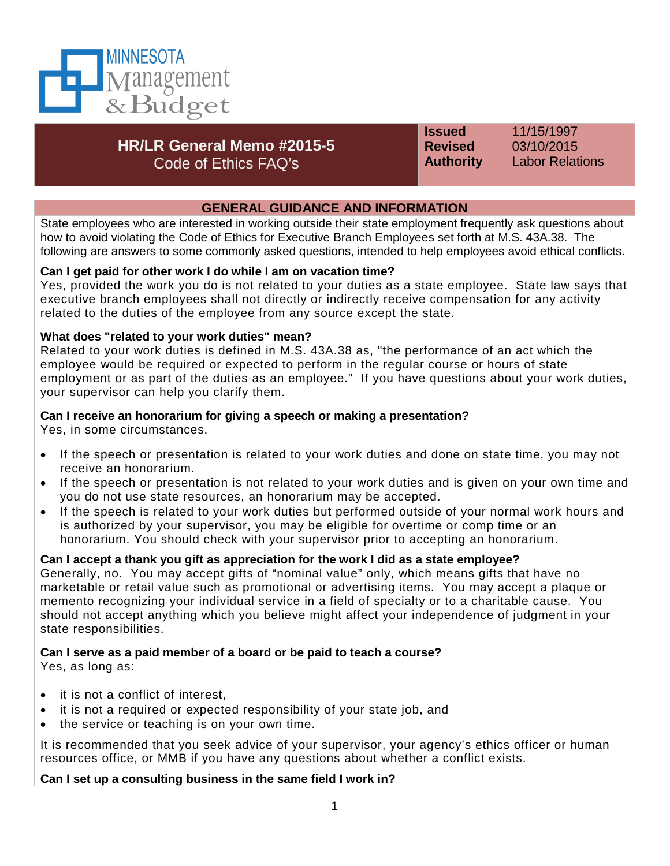

# **HR/LR General Memo #2015-5** Code of Ethics FAQ's

**Issued** 11/15/1997 **Revised** 03/10/2015

**Authority** Labor Relations

# **GENERAL GUIDANCE AND INFORMATION**

State employees who are interested in working outside their state employment frequently ask questions about how to avoid violating the Code of Ethics for Executive Branch Employees set forth at M.S. 43A.38. The following are answers to some commonly asked questions, intended to help employees avoid ethical conflicts.

# **Can I get paid for other work I do while I am on vacation time?**

Yes, provided the work you do is not related to your duties as a state employee. State law says that executive branch employees shall not directly or indirectly receive compensation for any activity related to the duties of the employee from any source except the state.

#### **What does "related to your work duties" mean?**

Related to your work duties is defined in M.S. 43A.38 as, "the performance of an act which the employee would be required or expected to perform in the regular course or hours of state employment or as part of the duties as an employee." If you have questions about your work duties, your supervisor can help you clarify them.

# **Can I receive an honorarium for giving a speech or making a presentation?**

Yes, in some circumstances.

- If the speech or presentation is related to your work duties and done on state time, you may not receive an honorarium.
- If the speech or presentation is not related to your work duties and is given on your own time and you do not use state resources, an honorarium may be accepted.
- If the speech is related to your work duties but performed outside of your normal work hours and is authorized by your supervisor, you may be eligible for overtime or comp time or an honorarium. You should check with your supervisor prior to accepting an honorarium.

# **Can I accept a thank you gift as appreciation for the work I did as a state employee?**

Generally, no. You may accept gifts of "nominal value" only, which means gifts that have no marketable or retail value such as promotional or advertising items. You may accept a plaque or memento recognizing your individual service in a field of specialty or to a charitable cause. You should not accept anything which you believe might affect your independence of judgment in your state responsibilities.

# **Can I serve as a paid member of a board or be paid to teach a course?**

Yes, as long as:

- it is not a conflict of interest.
- it is not a required or expected responsibility of your state job, and
- the service or teaching is on your own time.

It is recommended that you seek advice of your supervisor, your agency's ethics officer or human resources office, or MMB if you have any questions about whether a conflict exists.

# **Can I set up a consulting business in the same field I work in?**